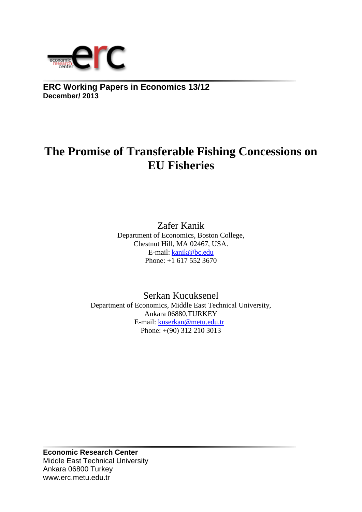

**ERC Working Papers in Economics 13/12 December/ 2013**

# **The Promise of Transferable Fishing Concessions on EU Fisheries**

Zafer Kanik Department of Economics, Boston College, Chestnut Hill, MA 02467, USA. E-mail: [kanik@bc.edu](mailto:kanik@bc.edu) Phone: +1 617 552 3670

Serkan Kucuksenel Department of Economics, Middle East Technical University, Ankara 06880,TURKEY E-mail: [kuserkan@metu.edu.tr](mailto:kuserkan@metu.edu.tr) Phone: +(90) 312 210 3013

**Economic Research Center** Middle East Technical University Ankara 06800 Turkey www.erc.metu.edu.tr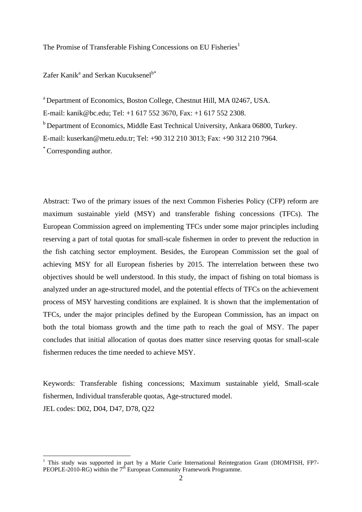The Promise of Transferable Fishing Concessions on EU Fisheries<sup>1</sup>

Zafer Kanik<sup>a</sup> and Serkan Kucuksenel<sup>b\*</sup>

<sup>a</sup> Department of Economics, Boston College, Chestnut Hill, MA 02467, USA. E-mail: kanik@bc.edu; Tel: +1 617 552 3670, Fax: +1 617 552 2308. <sup>b</sup> Department of Economics, Middle East Technical University, Ankara 06800, Turkey. E-mail: kuserkan@metu.edu.tr; Tel: +90 312 210 3013; Fax: +90 312 210 7964. \* Corresponding author.

Abstract: Two of the primary issues of the next Common Fisheries Policy (CFP) reform are maximum sustainable yield (MSY) and transferable fishing concessions (TFCs). The European Commission agreed on implementing TFCs under some major principles including reserving a part of total quotas for small-scale fishermen in order to prevent the reduction in the fish catching sector employment. Besides, the European Commission set the goal of achieving MSY for all European fisheries by 2015. The interrelation between these two objectives should be well understood. In this study, the impact of fishing on total biomass is analyzed under an age-structured model, and the potential effects of TFCs on the achievement process of MSY harvesting conditions are explained. It is shown that the implementation of TFCs, under the major principles defined by the European Commission, has an impact on both the total biomass growth and the time path to reach the goal of MSY. The paper concludes that initial allocation of quotas does matter since reserving quotas for small-scale fishermen reduces the time needed to achieve MSY.

Keywords: Transferable fishing concessions; Maximum sustainable yield, Small-scale fishermen, Individual transferable quotas, Age-structured model.

JEL codes: D02, D04, D47, D78, Q22

<u>.</u>

<sup>&</sup>lt;sup>1</sup> This study was supported in part by a Marie Curie International Reintegration Grant (DIOMFISH, FP7-PEOPLE-2010-RG) within the  $7<sup>th</sup>$  European Community Framework Programme.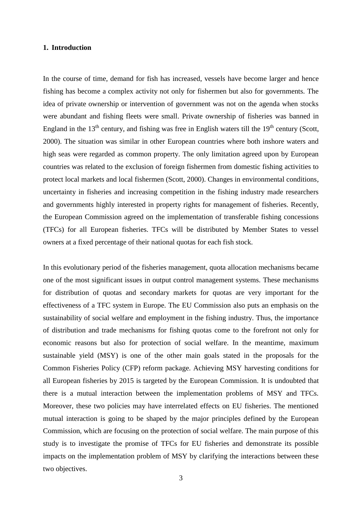#### **1. Introduction**

In the course of time, demand for fish has increased, vessels have become larger and hence fishing has become a complex activity not only for fishermen but also for governments. The idea of private ownership or intervention of government was not on the agenda when stocks were abundant and fishing fleets were small. Private ownership of fisheries was banned in England in the  $13<sup>th</sup>$  century, and fishing was free in English waters till the  $19<sup>th</sup>$  century (Scott, 2000). The situation was similar in other European countries where both inshore waters and high seas were regarded as common property. The only limitation agreed upon by European countries was related to the exclusion of foreign fishermen from domestic fishing activities to protect local markets and local fishermen (Scott, 2000). Changes in environmental conditions, uncertainty in fisheries and increasing competition in the fishing industry made researchers and governments highly interested in property rights for management of fisheries. Recently, the European Commission agreed on the implementation of transferable fishing concessions (TFCs) for all European fisheries. TFCs will be distributed by Member States to vessel owners at a fixed percentage of their national quotas for each fish stock.

In this evolutionary period of the fisheries management, quota allocation mechanisms became one of the most significant issues in output control management systems. These mechanisms for distribution of quotas and secondary markets for quotas are very important for the effectiveness of a TFC system in Europe. The EU Commission also puts an emphasis on the sustainability of social welfare and employment in the fishing industry. Thus, the importance of distribution and trade mechanisms for fishing quotas come to the forefront not only for economic reasons but also for protection of social welfare. In the meantime, maximum sustainable yield (MSY) is one of the other main goals stated in the proposals for the Common Fisheries Policy (CFP) reform package. Achieving MSY harvesting conditions for all European fisheries by 2015 is targeted by the European Commission. It is undoubted that there is a mutual interaction between the implementation problems of MSY and TFCs. Moreover, these two policies may have interrelated effects on EU fisheries. The mentioned mutual interaction is going to be shaped by the major principles defined by the European Commission, which are focusing on the protection of social welfare. The main purpose of this study is to investigate the promise of TFCs for EU fisheries and demonstrate its possible impacts on the implementation problem of MSY by clarifying the interactions between these two objectives.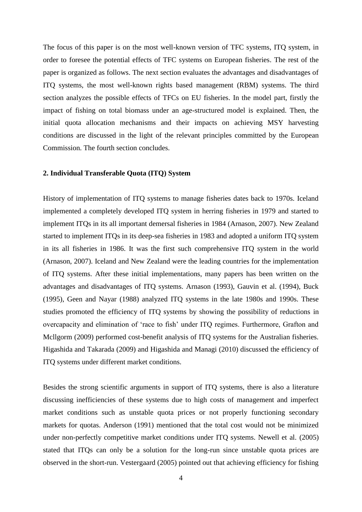The focus of this paper is on the most well-known version of TFC systems, ITQ system, in order to foresee the potential effects of TFC systems on European fisheries. The rest of the paper is organized as follows. The next section evaluates the advantages and disadvantages of ITQ systems, the most well-known rights based management (RBM) systems. The third section analyzes the possible effects of TFCs on EU fisheries. In the model part, firstly the impact of fishing on total biomass under an age-structured model is explained. Then, the initial quota allocation mechanisms and their impacts on achieving MSY harvesting conditions are discussed in the light of the relevant principles committed by the European Commission. The fourth section concludes.

#### **2. Individual Transferable Quota (ITQ) System**

History of implementation of ITQ systems to manage fisheries dates back to 1970s. Iceland implemented a completely developed ITQ system in herring fisheries in 1979 and started to implement ITQs in its all important demersal fisheries in 1984 (Arnason, 2007). New Zealand started to implement ITQs in its deep-sea fisheries in 1983 and adopted a uniform ITQ system in its all fisheries in 1986. It was the first such comprehensive ITQ system in the world (Arnason, 2007). Iceland and New Zealand were the leading countries for the implementation of ITQ systems. After these initial implementations, many papers has been written on the advantages and disadvantages of ITQ systems. Arnason (1993), Gauvin et al. (1994), Buck (1995), Geen and Nayar (1988) analyzed ITQ systems in the late 1980s and 1990s. These studies promoted the efficiency of ITQ systems by showing the possibility of reductions in overcapacity and elimination of 'race to fish' under ITQ regimes. Furthermore, Grafton and Mcllgorm (2009) performed cost-benefit analysis of ITQ systems for the Australian fisheries. Higashida and Takarada (2009) and Higashida and Managi (2010) discussed the efficiency of ITQ systems under different market conditions.

Besides the strong scientific arguments in support of ITQ systems, there is also a literature discussing inefficiencies of these systems due to high costs of management and imperfect market conditions such as unstable quota prices or not properly functioning secondary markets for quotas. Anderson (1991) mentioned that the total cost would not be minimized under non-perfectly competitive market conditions under ITQ systems. Newell et al. (2005) stated that ITQs can only be a solution for the long-run since unstable quota prices are observed in the short-run. Vestergaard (2005) pointed out that achieving efficiency for fishing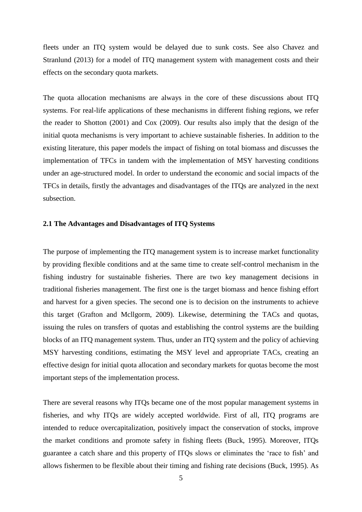fleets under an ITQ system would be delayed due to sunk costs. See also Chavez and Stranlund (2013) for a model of ITQ management system with management costs and their effects on the secondary quota markets.

The quota allocation mechanisms are always in the core of these discussions about ITQ systems. For real-life applications of these mechanisms in different fishing regions, we refer the reader to Shotton (2001) and Cox (2009). Our results also imply that the design of the initial quota mechanisms is very important to achieve sustainable fisheries. In addition to the existing literature, this paper models the impact of fishing on total biomass and discusses the implementation of TFCs in tandem with the implementation of MSY harvesting conditions under an age-structured model. In order to understand the economic and social impacts of the TFCs in details, firstly the advantages and disadvantages of the ITQs are analyzed in the next subsection.

#### **2.1 The Advantages and Disadvantages of ITQ Systems**

The purpose of implementing the ITQ management system is to increase market functionality by providing flexible conditions and at the same time to create self-control mechanism in the fishing industry for sustainable fisheries. There are two key management decisions in traditional fisheries management. The first one is the target biomass and hence fishing effort and harvest for a given species. The second one is to decision on the instruments to achieve this target (Grafton and Mcllgorm, 2009). Likewise, determining the TACs and quotas, issuing the rules on transfers of quotas and establishing the control systems are the building blocks of an ITQ management system. Thus, under an ITQ system and the policy of achieving MSY harvesting conditions, estimating the MSY level and appropriate TACs, creating an effective design for initial quota allocation and secondary markets for quotas become the most important steps of the implementation process.

There are several reasons why ITQs became one of the most popular management systems in fisheries, and why ITQs are widely accepted worldwide. First of all, ITQ programs are intended to reduce overcapitalization, positively impact the conservation of stocks, improve the market conditions and promote safety in fishing fleets (Buck, 1995). Moreover, ITQs guarantee a catch share and this property of ITQs slows or eliminates the 'race to fish' and allows fishermen to be flexible about their timing and fishing rate decisions (Buck, 1995). As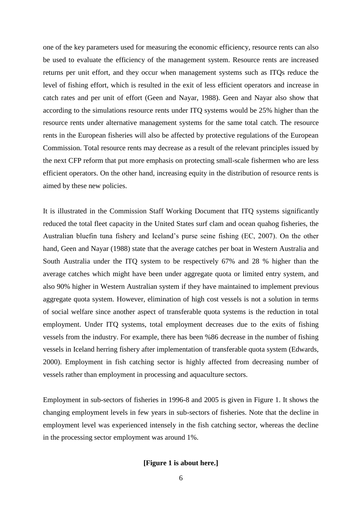one of the key parameters used for measuring the economic efficiency, resource rents can also be used to evaluate the efficiency of the management system. Resource rents are increased returns per unit effort, and they occur when management systems such as ITQs reduce the level of fishing effort, which is resulted in the exit of less efficient operators and increase in catch rates and per unit of effort (Geen and Nayar, 1988). Geen and Nayar also show that according to the simulations resource rents under ITQ systems would be 25% higher than the resource rents under alternative management systems for the same total catch. The resource rents in the European fisheries will also be affected by protective regulations of the European Commission. Total resource rents may decrease as a result of the relevant principles issued by the next CFP reform that put more emphasis on protecting small-scale fishermen who are less efficient operators. On the other hand, increasing equity in the distribution of resource rents is aimed by these new policies.

It is illustrated in the Commission Staff Working Document that ITQ systems significantly reduced the total fleet capacity in the United States surf clam and ocean quahog fisheries, the Australian bluefin tuna fishery and Iceland's purse seine fishing (EC, 2007). On the other hand, Geen and Nayar (1988) state that the average catches per boat in Western Australia and South Australia under the ITQ system to be respectively 67% and 28 % higher than the average catches which might have been under aggregate quota or limited entry system, and also 90% higher in Western Australian system if they have maintained to implement previous aggregate quota system. However, elimination of high cost vessels is not a solution in terms of social welfare since another aspect of transferable quota systems is the reduction in total employment. Under ITQ systems, total employment decreases due to the exits of fishing vessels from the industry. For example, there has been %86 decrease in the number of fishing vessels in Iceland herring fishery after implementation of transferable quota system (Edwards, 2000). Employment in fish catching sector is highly affected from decreasing number of vessels rather than employment in processing and aquaculture sectors.

Employment in sub-sectors of fisheries in 1996-8 and 2005 is given in Figure 1. It shows the changing employment levels in few years in sub-sectors of fisheries. Note that the decline in employment level was experienced intensely in the fish catching sector, whereas the decline in the processing sector employment was around 1%.

# **[Figure 1 is about here.]**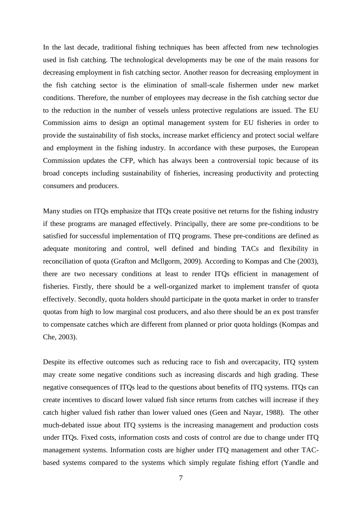In the last decade, traditional fishing techniques has been affected from new technologies used in fish catching. The technological developments may be one of the main reasons for decreasing employment in fish catching sector. Another reason for decreasing employment in the fish catching sector is the elimination of small-scale fishermen under new market conditions. Therefore, the number of employees may decrease in the fish catching sector due to the reduction in the number of vessels unless protective regulations are issued. The EU Commission aims to design an optimal management system for EU fisheries in order to provide the sustainability of fish stocks, increase market efficiency and protect social welfare and employment in the fishing industry. In accordance with these purposes, the European Commission updates the CFP, which has always been a controversial topic because of its broad concepts including sustainability of fisheries, increasing productivity and protecting consumers and producers.

Many studies on ITQs emphasize that ITQs create positive net returns for the fishing industry if these programs are managed effectively. Principally, there are some pre-conditions to be satisfied for successful implementation of ITQ programs. These pre-conditions are defined as adequate monitoring and control, well defined and binding TACs and flexibility in reconciliation of quota (Grafton and Mcllgorm, 2009). According to Kompas and Che (2003), there are two necessary conditions at least to render ITQs efficient in management of fisheries. Firstly, there should be a well-organized market to implement transfer of quota effectively. Secondly, quota holders should participate in the quota market in order to transfer quotas from high to low marginal cost producers, and also there should be an ex post transfer to compensate catches which are different from planned or prior quota holdings (Kompas and Che, 2003).

Despite its effective outcomes such as reducing race to fish and overcapacity, ITQ system may create some negative conditions such as increasing discards and high grading. These negative consequences of ITQs lead to the questions about benefits of ITQ systems. ITQs can create incentives to discard lower valued fish since returns from catches will increase if they catch higher valued fish rather than lower valued ones (Geen and Nayar, 1988). The other much-debated issue about ITQ systems is the increasing management and production costs under ITQs. Fixed costs, information costs and costs of control are due to change under ITQ management systems. Information costs are higher under ITQ management and other TACbased systems compared to the systems which simply regulate fishing effort (Yandle and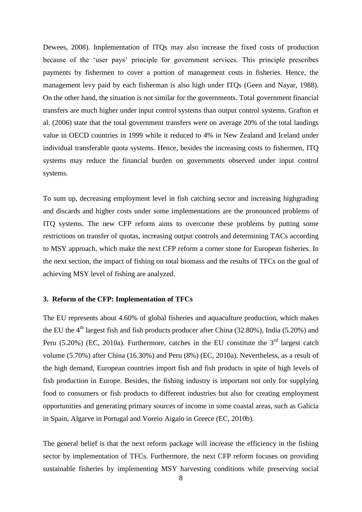Dewees, 2008). Implementation of ITQs may also increase the fixed costs of production because of the 'user pays' principle for government services. This principle prescribes payments by fishermen to cover a portion of management costs in fisheries. Hence, the management levy paid by each fisherman is also high under ITQs (Geen and Nayar, 1988). On the other hand, the situation is not similar for the governments. Total government financial transfers are much higher under input control systems than output control systems. Grafton et al. (2006) state that the total government transfers were on average 20% of the total landings value in OECD countries in 1999 while it reduced to 4% in New Zealand and Iceland under individual transferable quota systems. Hence, besides the increasing costs to fishermen, ITQ systems may reduce the financial burden on governments observed under input control systems.

To sum up, decreasing employment level in fish catching sector and increasing highgrading and discards and higher costs under some implementations are the pronounced problems of ITQ systems. The new CFP reform aims to overcome these problems by putting some restrictions on transfer of quotas, increasing output controls and determining TACs according to MSY approach, which make the next CFP reform a corner stone for European fisheries. In the next section, the impact of fishing on total biomass and the results of TFCs on the goal of achieving MSY level of fishing are analyzed.

## **3. Reform of the CFP: Implementation of TFCs**

The EU represents about 4.60% of global fisheries and aquaculture production, which makes the EU the  $4<sup>th</sup>$  largest fish and fish products producer after China (32.80%), India (5.20%) and Peru (5.20%) (EC, 2010a). Furthermore, catches in the EU constitute the  $3<sup>rd</sup>$  largest catch volume (5.70%) after China (16.30%) and Peru (8%) (EC, 2010a). Nevertheless, as a result of the high demand, European countries import fish and fish products in spite of high levels of fish production in Europe. Besides, the fishing industry is important not only for supplying food to consumers or fish products to different industries but also for creating employment opportunities and generating primary sources of income in some coastal areas, such as Galicia in Spain, Algarve in Portugal and Voreio Aigaio in Greece (EC, 2010b).

The general belief is that the next reform package will increase the efficiency in the fishing sector by implementation of TFCs. Furthermore, the next CFP reform focuses on providing sustainable fisheries by implementing MSY harvesting conditions while preserving social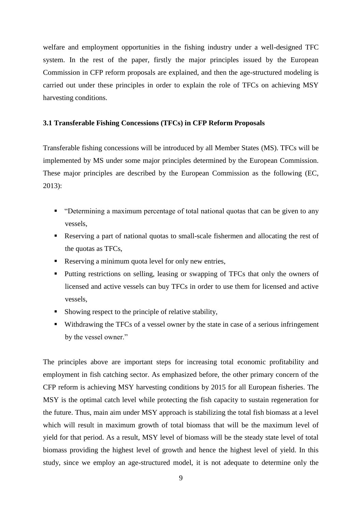welfare and employment opportunities in the fishing industry under a well-designed TFC system. In the rest of the paper, firstly the major principles issued by the European Commission in CFP reform proposals are explained, and then the age-structured modeling is carried out under these principles in order to explain the role of TFCs on achieving MSY harvesting conditions.

#### **3.1 Transferable Fishing Concessions (TFCs) in CFP Reform Proposals**

Transferable fishing concessions will be introduced by all Member States (MS). TFCs will be implemented by MS under some major principles determined by the European Commission. These major principles are described by the European Commission as the following (EC, 2013):

- "Determining a maximum percentage of total national quotas that can be given to any vessels,
- Reserving a part of national quotas to small-scale fishermen and allocating the rest of the quotas as TFCs,
- Reserving a minimum quota level for only new entries,
- Putting restrictions on selling, leasing or swapping of TFCs that only the owners of licensed and active vessels can buy TFCs in order to use them for licensed and active vessels,
- Showing respect to the principle of relative stability,
- Withdrawing the TFCs of a vessel owner by the state in case of a serious infringement by the vessel owner."

The principles above are important steps for increasing total economic profitability and employment in fish catching sector. As emphasized before, the other primary concern of the CFP reform is achieving MSY harvesting conditions by 2015 for all European fisheries. The MSY is the optimal catch level while protecting the fish capacity to sustain regeneration for the future. Thus, main aim under MSY approach is stabilizing the total fish biomass at a level which will result in maximum growth of total biomass that will be the maximum level of yield for that period. As a result, MSY level of biomass will be the steady state level of total biomass providing the highest level of growth and hence the highest level of yield. In this study, since we employ an age-structured model, it is not adequate to determine only the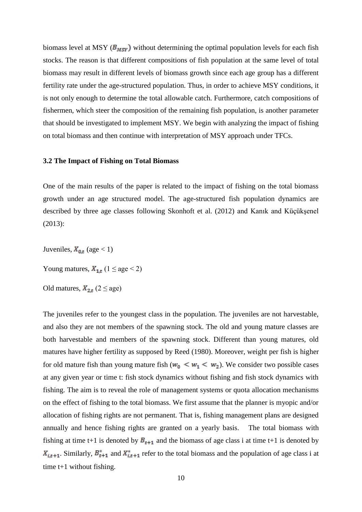biomass level at MSY ( $B_{MST}$ ) without determining the optimal population levels for each fish stocks. The reason is that different compositions of fish population at the same level of total biomass may result in different levels of biomass growth since each age group has a different fertility rate under the age-structured population. Thus, in order to achieve MSY conditions, it is not only enough to determine the total allowable catch. Furthermore, catch compositions of fishermen, which steer the composition of the remaining fish population, is another parameter that should be investigated to implement MSY. We begin with analyzing the impact of fishing on total biomass and then continue with interpretation of MSY approach under TFCs.

#### **3.2 The Impact of Fishing on Total Biomass**

One of the main results of the paper is related to the impact of fishing on the total biomass growth under an age structured model. The age-structured fish population dynamics are described by three age classes following Skonhoft et al. (2012) and Kanık and Küçükşenel (2013):

Juveniles,  $X_{0,t}$  (age < 1)

Young matures,  $X_{1,t}$  (1  $\leq$  age  $<$  2)

Old matures,  $X_{2,t}$  (2  $\leq$  age)

The juveniles refer to the youngest class in the population. The juveniles are not harvestable, and also they are not members of the spawning stock. The old and young mature classes are both harvestable and members of the spawning stock. Different than young matures, old matures have higher fertility as supposed by Reed (1980). Moreover, weight per fish is higher for old mature fish than young mature fish ( $w_0 < w_1 < w_2$ ). We consider two possible cases at any given year or time t: fish stock dynamics without fishing and fish stock dynamics with fishing. The aim is to reveal the role of management systems or quota allocation mechanisms on the effect of fishing to the total biomass. We first assume that the planner is myopic and/or allocation of fishing rights are not permanent. That is, fishing management plans are designed annually and hence fishing rights are granted on a yearly basis. The total biomass with fishing at time t+1 is denoted by  $B_{t+1}$  and the biomass of age class i at time t+1 is denoted by  $X_{i,t+1}$ . Similarly,  $B_{t+1}^*$  and  $X_{i,t+1}^*$  refer to the total biomass and the population of age class i at time t+1 without fishing.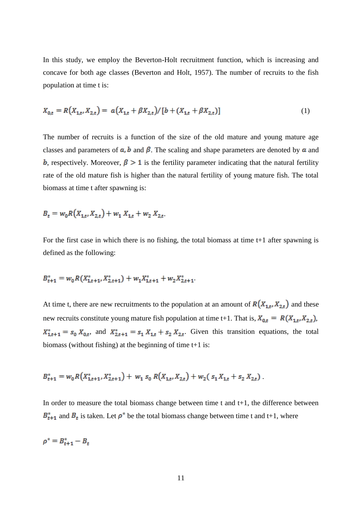In this study, we employ the Beverton-Holt recruitment function, which is increasing and concave for both age classes (Beverton and Holt, 1957). The number of recruits to the fish population at time t is:

$$
X_{0,t} = R(X_{1,t}, X_{2,t}) = a(X_{1,t} + \beta X_{2,t}) / [b + (X_{1,t} + \beta X_{2,t})]
$$
\n<sup>(1)</sup>

The number of recruits is a function of the size of the old mature and young mature age classes and parameters of  $a$ ,  $b$  and  $\beta$ . The scaling and shape parameters are denoted by  $a$  and **b**, respectively. Moreover,  $\beta > 1$  is the fertility parameter indicating that the natural fertility rate of the old mature fish is higher than the natural fertility of young mature fish. The total biomass at time t after spawning is:

$$
B_t = w_0 R(X_{1,t}, X_{2,t}) + w_1 X_{1,t} + w_2 X_{2,t}
$$

For the first case in which there is no fishing, the total biomass at time t+1 after spawning is defined as the following:

$$
B_{t+1}^* = w_0 R(X_{1,t+1}^*, X_{2,t+1}^*) + w_1 X_{1,t+1}^* + w_2 X_{2,t+1}^*.
$$

At time t, there are new recruitments to the population at an amount of  $R(X_{1,t}, X_{2,t})$  and these new recruits constitute young mature fish population at time t+1. That is,  $X_{0,t} = R(X_{1,t}, X_{2,t})$ ,  $X_{1,t+1}^* = s_0 X_{0,t}$ , and  $X_{2,t+1}^* = s_1 X_{1,t} + s_2 X_{2,t}$ . Given this transition equations, the total biomass (without fishing) at the beginning of time t+1 is:

$$
B_{t+1}^* = w_0 R(X_{1,t+1}^*, X_{2,t+1}^*) + w_1 s_0 R(X_{1,t}, X_{2,t}) + w_2 (s_1 X_{1,t} + s_2 X_{2,t}).
$$

In order to measure the total biomass change between time  $t$  and  $t+1$ , the difference between  $B_{t+1}^*$  and  $B_t$  is taken. Let  $\rho^*$  be the total biomass change between time t and t+1, where

$$
\rho^* = B_{t+1}^* - B_t
$$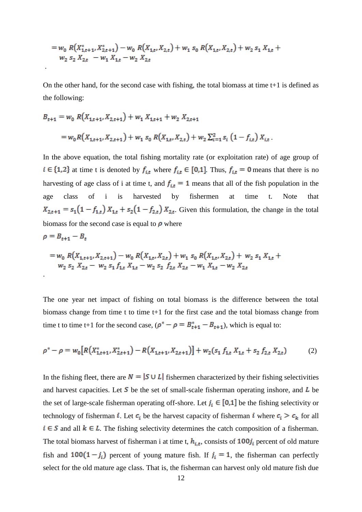$$
= w_0 R(X_{1,t+1}^*, X_{2,t+1}^*) - w_0 R(X_{1,t}, X_{2,t}) + w_1 s_0 R(X_{1,t}, X_{2,t}) + w_2 s_1 X_{1,t} + w_2 s_2 X_{2,t} - w_1 X_{1,t} - w_2 X_{2,t}
$$

.

.

On the other hand, for the second case with fishing, the total biomass at time t+1 is defined as the following:

$$
B_{t+1} = w_0 R(X_{1,t+1}, X_{2,t+1}) + w_1 X_{1,t+1} + w_2 X_{2,t+1}
$$
  
=  $w_0 R(X_{1,t+1}, X_{2,t+1}) + w_1 s_0 R(X_{1,t}, X_{2,t}) + w_2 \sum_{i=1}^{2} s_i (1 - f_{i,t}) X_{i,t}.$ 

In the above equation, the total fishing mortality rate (or exploitation rate) of age group of  $i \in \{1,2\}$  at time t is denoted by  $f_{i,t}$  where  $f_{i,t} \in [0,1]$ . Thus,  $f_{i,t} = 0$  means that there is no harvesting of age class of i at time t, and  $f_{i,t} = 1$  means that all of the fish population in the age class of i is harvested by fishermen at time t. Note that  $X_{2,t+1} = s_1(1-f_{1,t})X_{1,t} + s_2(1-f_{2,t})X_{2,t}$ . Given this formulation, the change in the total biomass for the second case is equal to  $\rho$  where

$$
\rho = B_{t+1} - B_t
$$
  
=  $w_0 R(X_{1,t+1}, X_{2,t+1}) - w_0 R(X_{1,t}, X_{2,t}) + w_1 s_0 R(X_{1,t}, X_{2,t}) + w_2 s_1 X_{1,t} + w_2 s_2 X_{2,t} - w_2 s_1 f_{1,t} X_{1,t} - w_2 s_2 f_{2,t} X_{2,t} - w_1 X_{1,t} - w_2 X_{2,t}$ 

The one year net impact of fishing on total biomass is the difference between the total biomass change from time t to time t+1 for the first case and the total biomass change from time t to time t+1 for the second case,  $(\rho^* - \rho = B_{t+1}^* - B_{t+1})$ , which is equal to:

$$
\rho^* - \rho = w_0 \left[ R \left( X_{1,t+1}^*, X_{2,t+1}^* \right) - R \left( X_{1,t+1}, X_{2,t+1} \right) \right] + w_2 \left( s_1 \, f_{1,t} \, X_{1,t} + s_2 \, f_{2,t} \, X_{2,t} \right) \tag{2}
$$

In the fishing fleet, there are  $N = |S \cup L|$  fishermen characterized by their fishing selectivities and harvest capacities. Let  $S$  be the set of small-scale fisherman operating inshore, and  $L$  be the set of large-scale fisherman operating off-shore. Let  $j_i \in [0,1]$  be the fishing selectivity or technology of fisherman *i*. Let  $c_i$  be the harvest capacity of fisherman *i* where  $c_i > c_k$  for all  $i \in S$  and all  $k \in L$ . The fishing selectivity determines the catch composition of a fisherman. The total biomass harvest of fisherman i at time t,  $h_{i,t}$ , consists of  $100j_i$  percent of old mature fish and  $100(1-j_i)$  percent of young mature fish. If  $j_i = 1$ , the fisherman can perfectly select for the old mature age class. That is, the fisherman can harvest only old mature fish due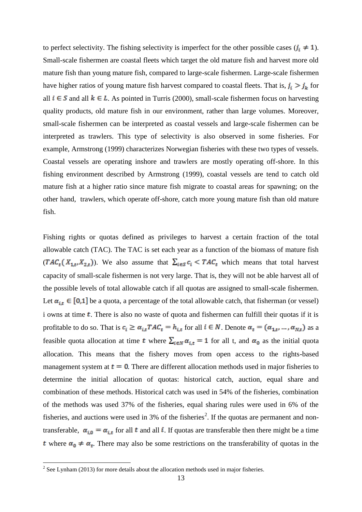to perfect selectivity. The fishing selectivity is imperfect for the other possible cases  $(j_i \neq 1)$ . Small-scale fishermen are coastal fleets which target the old mature fish and harvest more old mature fish than young mature fish, compared to large-scale fishermen. Large-scale fishermen have higher ratios of young mature fish harvest compared to coastal fleets. That is,  $j_i > j_k$  for all  $i \in S$  and all  $k \in L$ . As pointed in Turris (2000), small-scale fishermen focus on harvesting quality products, old mature fish in our environment, rather than large volumes. Moreover, small-scale fishermen can be interpreted as coastal vessels and large-scale fishermen can be interpreted as trawlers. This type of selectivity is also observed in some fisheries. For example, Armstrong (1999) characterizes Norwegian fisheries with these two types of vessels. Coastal vessels are operating inshore and trawlers are mostly operating off-shore. In this fishing environment described by Armstrong (1999), coastal vessels are tend to catch old mature fish at a higher ratio since mature fish migrate to coastal areas for spawning; on the other hand, trawlers, which operate off-shore, catch more young mature fish than old mature fish.

Fishing rights or quotas defined as privileges to harvest a certain fraction of the total allowable catch (TAC). The TAC is set each year as a function of the biomass of mature fish  $(TAC_t(X_{1,t}, X_{2,t}))$ . We also assume that  $\sum_{i \in S} c_i < TAC_t$  which means that total harvest capacity of small-scale fishermen is not very large. That is, they will not be able harvest all of the possible levels of total allowable catch if all quotas are assigned to small-scale fishermen. Let  $\alpha_{i,t} \in [0,1]$  be a quota, a percentage of the total allowable catch, that fisherman (or vessel) i owns at time  $t$ . There is also no waste of quota and fishermen can fulfill their quotas if it is profitable to do so. That is  $c_i \ge \alpha_{i,t} T A C_t = h_{i,t}$  for all  $i \in N$ . Denote  $\alpha_t = (\alpha_{1,t}, \dots, \alpha_{N,t})$  as a feasible quota allocation at time t where  $\sum_{i \in N} \alpha_{i,t} = 1$  for all t, and  $\alpha_0$  as the initial quota allocation. This means that the fishery moves from open access to the rights-based management system at  $t = 0$ . There are different allocation methods used in major fisheries to determine the initial allocation of quotas: historical catch, auction, equal share and combination of these methods. Historical catch was used in 54% of the fisheries, combination of the methods was used 37% of the fisheries, equal sharing rules were used in 6% of the fisheries, and auctions were used in 3% of the fisheries<sup>2</sup>. If the quotas are permanent and nontransferable,  $\alpha_{i,0} = \alpha_{i,t}$  for all t and all i. If quotas are transferable then there might be a time t where  $\alpha_0 \neq \alpha_t$ . There may also be some restrictions on the transferability of quotas in the

<sup>&</sup>lt;sup>2</sup> See Lynham (2013) for more details about the allocation methods used in major fisheries.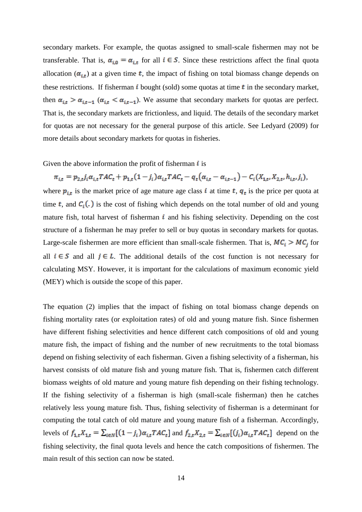secondary markets. For example, the quotas assigned to small-scale fishermen may not be transferable. That is,  $\alpha_{i,0} = \alpha_{i,t}$  for all  $i \in S$ . Since these restrictions affect the final quota allocation  $(\alpha_{i,t})$  at a given time t, the impact of fishing on total biomass change depends on these restrictions. If fisherman  $\mathbf{i}$  bought (sold) some quotas at time  $\mathbf{t}$  in the secondary market, then  $\alpha_{i,t} > \alpha_{i,t-1}$  ( $\alpha_{i,t} < \alpha_{i,t-1}$ ). We assume that secondary markets for quotas are perfect. That is, the secondary markets are frictionless, and liquid. The details of the secondary market for quotas are not necessary for the general purpose of this article. See Ledyard (2009) for more details about secondary markets for quotas in fisheries.

Given the above information the profit of fisherman  $\boldsymbol{i}$  is

 $\pi_{i,t} = p_{2,t}j_i\alpha_{i,t}TAC_t + p_{1,t}(1-j_i)\alpha_{i,t}TAC_t - q_t(\alpha_{i,t} - \alpha_{i,t-1}) - C_i(X_{1,t}, X_{2,t}, h_{i,t}, j_i),$ where  $p_{i,t}$  is the market price of age mature age class i at time t,  $q_t$  is the price per quota at time t, and  $C_i(.)$  is the cost of fishing which depends on the total number of old and young mature fish, total harvest of fisherman  $\mathbf{i}$  and his fishing selectivity. Depending on the cost structure of a fisherman he may prefer to sell or buy quotas in secondary markets for quotas. Large-scale fishermen are more efficient than small-scale fishermen. That is,  $MC_i > MC_j$  for all  $i \in S$  and all  $j \in L$ . The additional details of the cost function is not necessary for calculating MSY. However, it is important for the calculations of maximum economic yield (MEY) which is outside the scope of this paper.

The equation (2) implies that the impact of fishing on total biomass change depends on fishing mortality rates (or exploitation rates) of old and young mature fish. Since fishermen have different fishing selectivities and hence different catch compositions of old and young mature fish, the impact of fishing and the number of new recruitments to the total biomass depend on fishing selectivity of each fisherman. Given a fishing selectivity of a fisherman, his harvest consists of old mature fish and young mature fish. That is, fishermen catch different biomass weights of old mature and young mature fish depending on their fishing technology. If the fishing selectivity of a fisherman is high (small-scale fisherman) then he catches relatively less young mature fish. Thus, fishing selectivity of fisherman is a determinant for computing the total catch of old mature and young mature fish of a fisherman. Accordingly, levels of  $f_{1,t}X_{1,t} = \sum_{i\in\mathbb{N}}[(1-j_i)\alpha_{i,t}TAC_t]$  and  $f_{2,t}X_{2,t} = \sum_{i\in\mathbb{N}}[(j_i)\alpha_{i,t}TAC_t]$  depend on the fishing selectivity, the final quota levels and hence the catch compositions of fishermen. The main result of this section can now be stated.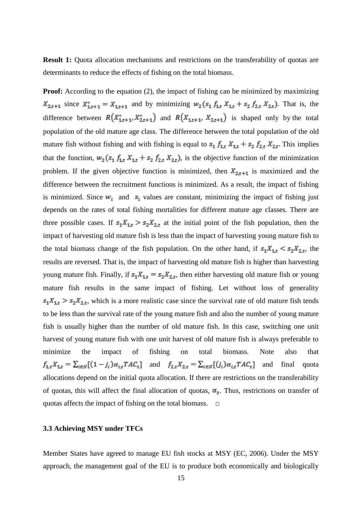**Result 1:** Quota allocation mechanisms and restrictions on the transferability of quotas are determinants to reduce the effects of fishing on the total biomass.

**Proof:** According to the equation (2), the impact of fishing can be minimized by maximizing  $X_{2,t+1}$  since  $X_{1,t+1}^* = X_{1,t+1}$  and by minimizing  $w_2(s_1 f_{1,t} X_{1,t} + s_2 f_{2,t} X_{2,t})$ . That is, the difference between  $R(X_{1,t+1}^*, X_{2,t+1}^*)$  and  $R(X_{1,t+1}, X_{2,t+1})$  is shaped only by the total population of the old mature age class. The difference between the total population of the old mature fish without fishing and with fishing is equal to  $s_1 f_{1,t} X_{1,t} + s_2 f_{2,t} X_{2,t}$ . This implies that the function,  $w_2$  ( $s_1$ ,  $f_{1,t}$ ,  $X_{1,t}$  +  $s_2$ ,  $f_{2,t}$ ,  $X_{2,t}$ ), is the objective function of the minimization problem. If the given objective function is minimized, then  $X_{2,t+1}$  is maximized and the difference between the recruitment functions is minimized. As a result, the impact of fishing is minimized. Since  $w_i$  and  $s_i$  values are constant, minimizing the impact of fishing just depends on the rates of total fishing mortalities for different mature age classes. There are three possible cases. If  $s_1X_{1,t} > s_2X_{2,t}$  at the initial point of the fish population, then the impact of harvesting old mature fish is less than the impact of harvesting young mature fish to the total biomass change of the fish population. On the other hand, if  $s_1X_{1,t} \leq s_2X_{2,t}$ , the results are reversed. That is, the impact of harvesting old mature fish is higher than harvesting young mature fish. Finally, if  $s_1 X_{1,t} = s_2 X_{2,t}$ , then either harvesting old mature fish or young mature fish results in the same impact of fishing. Let without loss of generality  $s_1X_{1,t} > s_2X_{2,t}$ , which is a more realistic case since the survival rate of old mature fish tends to be less than the survival rate of the young mature fish and also the number of young mature fish is usually higher than the number of old mature fish. In this case, switching one unit harvest of young mature fish with one unit harvest of old mature fish is always preferable to minimize the impact of fishing on total biomass. Note also that  $f_{1,t}X_{1,t} = \sum_{i\in N} [(1-j_i)\alpha_{i,t}TAC_t]$  and  $f_{2,t}X_{2,t} = \sum_{i\in N} [(j_i)\alpha_{i,t}TAC_t]$  and final quota allocations depend on the initial quota allocation. If there are restrictions on the transferability of quotas, this will affect the final allocation of quotas,  $\alpha_t$ . Thus, restrictions on transfer of quotas affects the impact of fishing on the total biomass.  $\square$ 

# **3.3 Achieving MSY under TFCs**

Member States have agreed to manage EU fish stocks at MSY (EC, 2006). Under the MSY approach, the management goal of the EU is to produce both economically and biologically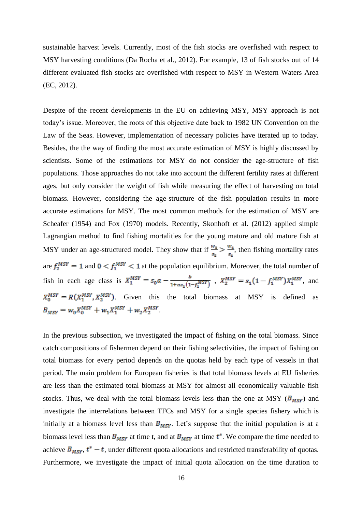sustainable harvest levels. Currently, most of the fish stocks are overfished with respect to MSY harvesting conditions (Da Rocha et al., 2012). For example, 13 of fish stocks out of 14 different evaluated fish stocks are overfished with respect to MSY in Western Waters Area (EC, 2012).

Despite of the recent developments in the EU on achieving MSY, MSY approach is not today's issue. Moreover, the roots of this objective date back to 1982 UN Convention on the Law of the Seas. However, implementation of necessary policies have iterated up to today. Besides, the the way of finding the most accurate estimation of MSY is highly discussed by scientists. Some of the estimations for MSY do not consider the age-structure of fish populations. Those approaches do not take into account the different fertility rates at different ages, but only consider the weight of fish while measuring the effect of harvesting on total biomass. However, considering the age-structure of the fish population results in more accurate estimations for MSY. The most common methods for the estimation of MSY are Scheafer (1954) and Fox (1970) models. Recently, Skonhoft et al. (2012) applied simple Lagrangian method to find fishing mortalities for the young mature and old mature fish at MSY under an age-structured model. They show that if  $\frac{w_2}{s_2} > \frac{w_1}{s_1}$ , then fishing mortality rates are  $f_2^{MSY} = 1$  and  $0 \lt f_1^{MSY} \lt 1$  at the population equilibrium. Moreover, the total number of fish in each age class is  $X_1^{MSY} = s_0 a - \frac{b}{1 + \alpha s_1 (1 - f_1^{MSY})}$ ,  $X_2^{MSY} = s_1 (1 - f_1^{MSY}) X_1^{MSY}$ , and  $X_0^{MST} = R(X_1^{MST}, X_2^{MST})$ . Given this the total biomass at MSY is defined as  $B_{MSY} = w_0 X_0^{MSY} + w_1 X_1^{MSY} + w_2 X_2^{MSY}.$ 

In the previous subsection, we investigated the impact of fishing on the total biomass. Since catch compositions of fishermen depend on their fishing selectivities, the impact of fishing on total biomass for every period depends on the quotas held by each type of vessels in that period. The main problem for European fisheries is that total biomass levels at EU fisheries are less than the estimated total biomass at MSY for almost all economically valuable fish stocks. Thus, we deal with the total biomass levels less than the one at MSY ( $B_{MSV}$ ) and investigate the interrelations between TFCs and MSY for a single species fishery which is initially at a biomass level less than  $B_{MSY}$ . Let's suppose that the initial population is at a biomass level less than  $B_{MST}$  at time t, and at  $B_{MST}$  at time  $t^*$ . We compare the time needed to achieve  $B_{MSY}$ ,  $t^* - t$ , under different quota allocations and restricted transferability of quotas. Furthermore, we investigate the impact of initial quota allocation on the time duration to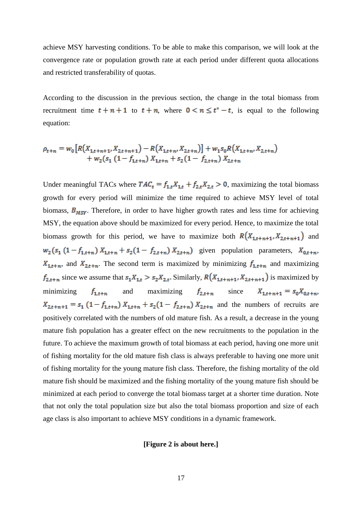achieve MSY harvesting conditions. To be able to make this comparison, we will look at the convergence rate or population growth rate at each period under different quota allocations and restricted transferability of quotas.

According to the discussion in the previous section, the change in the total biomass from recruitment time  $t + n + 1$  to  $t + n$ , where  $0 \lt n \le t^* - t$ , is equal to the following equation:

$$
\rho_{t+n} = w_0 \left[ R(X_{1,t+n+1}, X_{2,t+n+1}) - R(X_{1,t+n}, X_{2,t+n}) \right] + w_1 s_0 R(X_{1,t+n}, X_{2,t+n}) + w_2 (s_1 (1 - f_{1,t+n}) X_{1,t+n} + s_2 (1 - f_{2,t+n}) X_{2,t+n})
$$

Under meaningful TACs where  $TAC_t = f_{1,t}X_{1,t} + f_{2,t}X_{2,t} > 0$ , maximizing the total biomass growth for every period will minimize the time required to achieve MSY level of total biomass,  $B_{MST}$ . Therefore, in order to have higher growth rates and less time for achieving MSY, the equation above should be maximized for every period. Hence, to maximize the total biomass growth for this period, we have to maximize both  $R(X_{1,t+n+1}, X_{2,t+n+1})$  and  $w_2(s_1 (1 - f_{1,t+n}) X_{1,t+n} + s_2 (1 - f_{2,t+n}) X_{2,t+n})$  given population parameters,  $X_{0,t+n}$ ,  $X_{1,t+n}$ , and  $X_{2,t+n}$ . The second term is maximized by minimizing  $f_{1,t+n}$  and maximizing  $f_{2,t+n}$  since we assume that  $s_1X_{1,t} > s_2X_{2,t}$ . Similarly,  $R(X_{1,t+n+1}, X_{2,t+n+1})$  is maximized by minimizing  $f_{1,t+n}$  and maximizing  $f_{2,t+n}$  since  $X_{1,t+n+1} = s_0 X_{0,t+n}$ ,  $X_{2,t+n+1} = s_1 (1 - f_{1,t+n}) X_{1,t+n} + s_2 (1 - f_{2,t+n}) X_{2,t+n}$  and the numbers of recruits are positively correlated with the numbers of old mature fish. As a result, a decrease in the young mature fish population has a greater effect on the new recruitments to the population in the future. To achieve the maximum growth of total biomass at each period, having one more unit of fishing mortality for the old mature fish class is always preferable to having one more unit of fishing mortality for the young mature fish class. Therefore, the fishing mortality of the old mature fish should be maximized and the fishing mortality of the young mature fish should be minimized at each period to converge the total biomass target at a shorter time duration. Note that not only the total population size but also the total biomass proportion and size of each age class is also important to achieve MSY conditions in a dynamic framework.

#### **[Figure 2 is about here.]**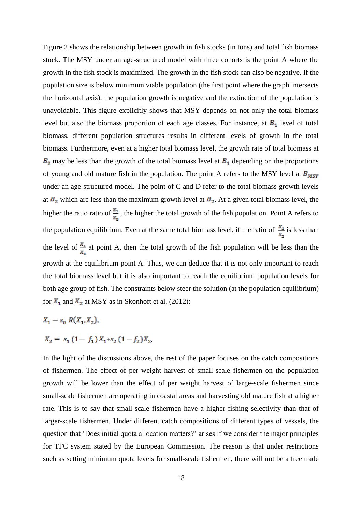Figure 2 shows the relationship between growth in fish stocks (in tons) and total fish biomass stock. The MSY under an age-structured model with three cohorts is the point A where the growth in the fish stock is maximized. The growth in the fish stock can also be negative. If the population size is below minimum viable population (the first point where the graph intersects the horizontal axis), the population growth is negative and the extinction of the population is unavoidable. This figure explicitly shows that MSY depends on not only the total biomass level but also the biomass proportion of each age classes. For instance, at  $B_1$  level of total biomass, different population structures results in different levels of growth in the total biomass. Furthermore, even at a higher total biomass level, the growth rate of total biomass at  $B_2$  may be less than the growth of the total biomass level at  $B_1$  depending on the proportions of young and old mature fish in the population. The point A refers to the MSY level at  $B_{MSY}$ under an age-structured model. The point of C and D refer to the total biomass growth levels at  $B_2$  which are less than the maximum growth level at  $B_2$ . At a given total biomass level, the higher the ratio ratio of  $\frac{x_1}{x_2}$ , the higher the total growth of the fish population. Point A refers to the population equilibrium. Even at the same total biomass level, if the ratio of  $\frac{x_1}{x_2}$  is less than the level of  $\frac{x_1}{x_2}$  at point A, then the total growth of the fish population will be less than the growth at the equilibrium point A. Thus, we can deduce that it is not only important to reach the total biomass level but it is also important to reach the equilibrium population levels for both age group of fish. The constraints below steer the solution (at the population equilibrium) for  $X_1$  and  $X_2$  at MSY as in Skonhoft et al. (2012):

$$
X_1 = s_0 R(X_1, X_2),
$$
  
\n
$$
X_2 = s_1 (1 - f_1) X_1 + s_2 (1 - f_2) X_2.
$$

In the light of the discussions above, the rest of the paper focuses on the catch compositions of fishermen. The effect of per weight harvest of small-scale fishermen on the population growth will be lower than the effect of per weight harvest of large-scale fishermen since small-scale fishermen are operating in coastal areas and harvesting old mature fish at a higher rate. This is to say that small-scale fishermen have a higher fishing selectivity than that of larger-scale fishermen. Under different catch compositions of different types of vessels, the question that 'Does initial quota allocation matters?' arises if we consider the major principles for TFC system stated by the European Commission. The reason is that under restrictions such as setting minimum quota levels for small-scale fishermen, there will not be a free trade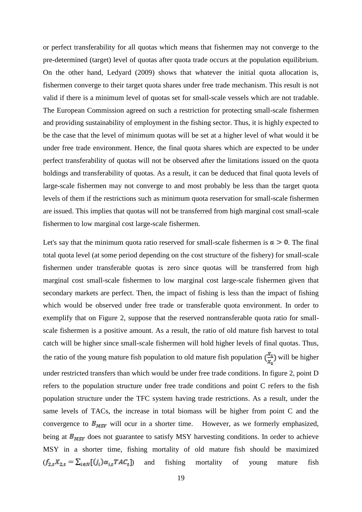or perfect transferability for all quotas which means that fishermen may not converge to the pre-determined (target) level of quotas after quota trade occurs at the population equilibrium. On the other hand, Ledyard (2009) shows that whatever the initial quota allocation is, fishermen converge to their target quota shares under free trade mechanism. This result is not valid if there is a minimum level of quotas set for small-scale vessels which are not tradable. The European Commission agreed on such a restriction for protecting small-scale fishermen and providing sustainability of employment in the fishing sector. Thus, it is highly expected to be the case that the level of minimum quotas will be set at a higher level of what would it be under free trade environment. Hence, the final quota shares which are expected to be under perfect transferability of quotas will not be observed after the limitations issued on the quota holdings and transferability of quotas. As a result, it can be deduced that final quota levels of large-scale fishermen may not converge to and most probably be less than the target quota levels of them if the restrictions such as minimum quota reservation for small-scale fishermen are issued. This implies that quotas will not be transferred from high marginal cost small-scale fishermen to low marginal cost large-scale fishermen.

Let's say that the minimum quota ratio reserved for small-scale fishermen is  $a > 0$ . The final total quota level (at some period depending on the cost structure of the fishery) for small-scale fishermen under transferable quotas is zero since quotas will be transferred from high marginal cost small-scale fishermen to low marginal cost large-scale fishermen given that secondary markets are perfect. Then, the impact of fishing is less than the impact of fishing which would be observed under free trade or transferable quota environment. In order to exemplify that on Figure 2, suppose that the reserved nontransferable quota ratio for smallscale fishermen is a positive amount. As a result, the ratio of old mature fish harvest to total catch will be higher since small-scale fishermen will hold higher levels of final quotas. Thus, the ratio of the young mature fish population to old mature fish population  $\left(\frac{x_4}{x_2}\right)$  will be higher under restricted transfers than which would be under free trade conditions. In figure 2, point D refers to the population structure under free trade conditions and point C refers to the fish population structure under the TFC system having trade restrictions. As a result, under the same levels of TACs, the increase in total biomass will be higher from point C and the convergence to  $B_{MSY}$  will ocur in a shorter time. However, as we formerly emphasized, being at  $B_{MSY}$  does not guarantee to satisfy MSY harvesting conditions. In order to achieve MSY in a shorter time, fishing mortality of old mature fish should be maximized  $(f_{2,t}X_{2,t} = \sum_{i \in N} [(j_i)\alpha_{i,t}TAC_t]$  and fishing mortality of young mature fish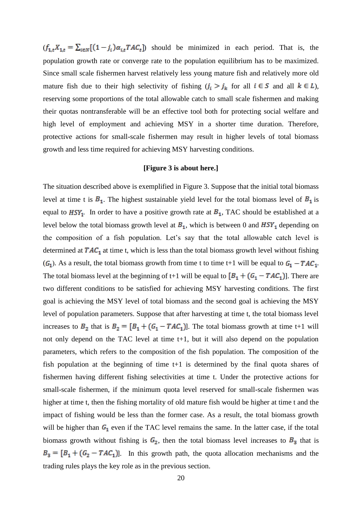$(f_{1,t}X_{1,t} = \sum_{i \in N} [(1 - j_i)\alpha_{i,t}TAC_t]$  should be minimized in each period. That is, the population growth rate or converge rate to the population equilibrium has to be maximized. Since small scale fishermen harvest relatively less young mature fish and relatively more old mature fish due to their high selectivity of fishing  $(j_i > j_k)$  for all  $i \in S$  and all  $k \in L$ ), reserving some proportions of the total allowable catch to small scale fishermen and making their quotas nontransferable will be an effective tool both for protecting social welfare and high level of employment and achieving MSY in a shorter time duration. Therefore, protective actions for small-scale fishermen may result in higher levels of total biomass growth and less time required for achieving MSY harvesting conditions.

## **[Figure 3 is about here.]**

The situation described above is exemplified in Figure 3. Suppose that the initial total biomass level at time t is  $B_1$ . The highest sustainable yield level for the total biomass level of  $B_1$  is equal to  $HSY_1$ . In order to have a positive growth rate at  $B_1$ , TAC should be established at a level below the total biomass growth level at  $B_1$ , which is between 0 and  $HSY_1$  depending on the composition of a fish population. Let's say that the total allowable catch level is determined at  $TAC_1$  at time t, which is less than the total biomass growth level without fishing  $(G_1)$ . As a result, the total biomass growth from time t to time t+1 will be equal to  $G_1 - TAC_1$ . The total biomass level at the beginning of t+1 will be equal to  $[B_1 + (G_1 - TAC_1)]$ . There are two different conditions to be satisfied for achieving MSY harvesting conditions. The first goal is achieving the MSY level of total biomass and the second goal is achieving the MSY level of population parameters. Suppose that after harvesting at time t, the total biomass level increases to  $B_2$  that is  $B_2 = [B_1 + (G_1 - TAC_1)]$ . The total biomass growth at time t+1 will not only depend on the TAC level at time t+1, but it will also depend on the population parameters, which refers to the composition of the fish population. The composition of the fish population at the beginning of time t+1 is determined by the final quota shares of fishermen having different fishing selectivities at time t. Under the protective actions for small-scale fishermen, if the minimum quota level reserved for small-scale fishermen was higher at time t, then the fishing mortality of old mature fish would be higher at time t and the impact of fishing would be less than the former case. As a result, the total biomass growth will be higher than  $G_1$  even if the TAC level remains the same. In the latter case, if the total biomass growth without fishing is  $G_2$ , then the total biomass level increases to  $B_3$  that is  $B_3 = [B_1 + (G_2 - TAC_1)]$ . In this growth path, the quota allocation mechanisms and the trading rules plays the key role as in the previous section.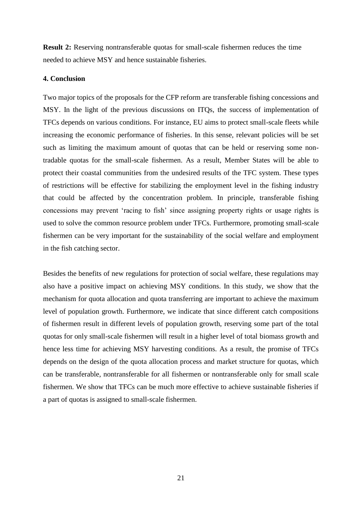**Result 2:** Reserving nontransferable quotas for small-scale fishermen reduces the time needed to achieve MSY and hence sustainable fisheries.

# **4. Conclusion**

Two major topics of the proposals for the CFP reform are transferable fishing concessions and MSY. In the light of the previous discussions on ITQs, the success of implementation of TFCs depends on various conditions. For instance, EU aims to protect small-scale fleets while increasing the economic performance of fisheries. In this sense, relevant policies will be set such as limiting the maximum amount of quotas that can be held or reserving some nontradable quotas for the small-scale fishermen. As a result, Member States will be able to protect their coastal communities from the undesired results of the TFC system. These types of restrictions will be effective for stabilizing the employment level in the fishing industry that could be affected by the concentration problem. In principle, transferable fishing concessions may prevent 'racing to fish' since assigning property rights or usage rights is used to solve the common resource problem under TFCs. Furthermore, promoting small-scale fishermen can be very important for the sustainability of the social welfare and employment in the fish catching sector.

Besides the benefits of new regulations for protection of social welfare, these regulations may also have a positive impact on achieving MSY conditions. In this study, we show that the mechanism for quota allocation and quota transferring are important to achieve the maximum level of population growth. Furthermore, we indicate that since different catch compositions of fishermen result in different levels of population growth, reserving some part of the total quotas for only small-scale fishermen will result in a higher level of total biomass growth and hence less time for achieving MSY harvesting conditions. As a result, the promise of TFCs depends on the design of the quota allocation process and market structure for quotas, which can be transferable, nontransferable for all fishermen or nontransferable only for small scale fishermen. We show that TFCs can be much more effective to achieve sustainable fisheries if a part of quotas is assigned to small-scale fishermen.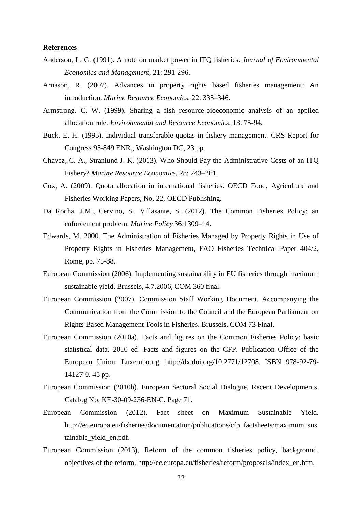### **References**

- Anderson, L. G. (1991). A note on market power in ITQ fisheries. *Journal of Environmental Economics and Management*, 21: 291-296.
- Arnason, R. (2007). Advances in property rights based fisheries management: An introduction. *Marine Resource Economics*, 22: 335–346.
- Armstrong, C. W. (1999). Sharing a fish resource-bioeconomic analysis of an applied allocation rule. *Environmental and Resource Economics*, 13: 75-94.
- Buck, E. H. (1995). Individual transferable quotas in fishery management. CRS Report for Congress 95-849 ENR., Washington DC, 23 pp.
- Chavez, C. A., Stranlund J. K. (2013). Who Should Pay the Administrative Costs of an ITQ Fishery? *Marine Resource Economics*, 28: 243–261.
- Cox, A. (2009). Quota allocation in international fisheries. OECD Food, Agriculture and Fisheries Working Papers, No. 22, OECD Publishing.
- Da Rocha, J.M., Cervino, S., Villasante, S. (2012). The Common Fisheries Policy: an enforcement problem. *Marine Policy* 36:1309–14.
- Edwards, M. 2000. The Administration of Fisheries Managed by Property Rights in Use of Property Rights in Fisheries Management, FAO Fisheries Technical Paper 404/2, Rome, pp. 75-88.
- European Commission (2006). Implementing sustainability in EU fisheries through maximum sustainable yield. Brussels, 4.7.2006, COM 360 final.
- European Commission (2007). Commission Staff Working Document, Accompanying the Communication from the Commission to the Council and the European Parliament on Rights-Based Management Tools in Fisheries. Brussels, COM 73 Final.
- European Commission (2010a). Facts and figures on the Common Fisheries Policy: basic statistical data. 2010 ed. Facts and figures on the CFP. Publication Office of the European Union: Luxembourg. http://dx.doi.org/10.2771/12708. ISBN 978-92-79- 14127-0. 45 pp.
- European Commission (2010b). European Sectoral Social Dialogue, Recent Developments. Catalog No: KE-30-09-236-EN-C. Page 71.
- European Commission (2012), Fact sheet on Maximum Sustainable Yield. http://ec.europa.eu/fisheries/documentation/publications/cfp\_factsheets/maximum\_sus tainable\_yield\_en.pdf.
- European Commission (2013), Reform of the common fisheries policy, background, objectives of the reform, http://ec.europa.eu/fisheries/reform/proposals/index\_en.htm.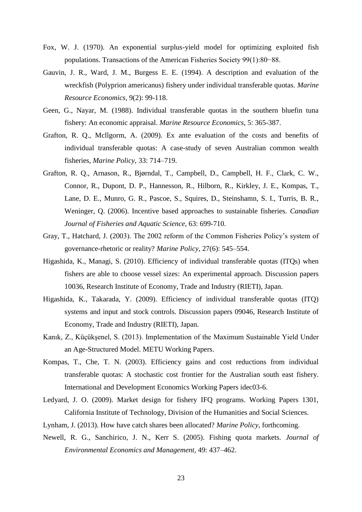- Fox, W. J. (1970). An exponential surplus-yield model for optimizing exploited fish populations. Transactions of the American Fisheries Society 99(1):80−88.
- Gauvin, J. R., Ward, J. M., Burgess E. E. (1994). A description and evaluation of the wreckfish (Polyprion americanus) fishery under individual transferable quotas. *Marine Resource Economics*, 9(2): 99-118.
- Geen, G., Nayar, M. (1988). Individual transferable quotas in the southern bluefin tuna fishery: An economic appraisal. *Marine Resource Economics*, 5: 365-387.
- Grafton, R. Q., Mcllgorm, A. (2009). Ex ante evaluation of the costs and benefits of individual transferable quotas: A case-study of seven Australian common wealth fisheries, *Marine Policy*, 33: 714–719.
- Grafton, R. Q., Arnason, R., Bjørndal, T., Campbell, D., Campbell, H. F., Clark, C. W., Connor, R., Dupont, D. P., Hannesson, R., Hilborn, R., Kirkley, J. E., Kompas, T., Lane, D. E., Munro, G. R., Pascoe, S., Squires, D., Steinshamn, S. I., Turris, B. R., Weninger, Q. (2006). Incentive based approaches to sustainable fisheries. *Canadian Journal of Fisheries and Aquatic Science*, 63: 699-710.
- Gray, T., Hatchard, J. (2003). The 2002 reform of the Common Fisheries Policy's system of governance-rhetoric or reality? *Marine Policy*, 27(6): 545–554.
- Higashida, K., Managi, S. (2010). Efficiency of individual transferable quotas (ITQs) when fishers are able to choose vessel sizes: An experimental approach. Discussion papers 10036, Research Institute of Economy, Trade and Industry (RIETI), Japan.
- Higashida, K., Takarada, Y. (2009). Efficiency of individual transferable quotas (ITQ) systems and input and stock controls. Discussion papers 09046, Research Institute of Economy, Trade and Industry (RIETI), Japan.
- Kanık, Z., Küçükşenel, S. (2013). Implementation of the Maximum Sustainable Yield Under an Age-Structured Model. METU Working Papers.
- Kompas, T., Che, T. N. (2003). Efficiency gains and cost reductions from individual transferable quotas: A stochastic cost frontier for the Australian south east fishery. International and Development Economics Working Papers idec03-6.
- Ledyard, J. O. (2009). Market design for fishery IFQ programs. Working Papers 1301, California Institute of Technology, Division of the Humanities and Social Sciences.
- Lynham, J. (2013). How have catch shares been allocated? *Marine Policy*, forthcoming.
- Newell, R. G., Sanchirico, J. N., Kerr S. (2005). Fishing quota markets. *Journal of Environmental Economics and Management*, 49: 437–462.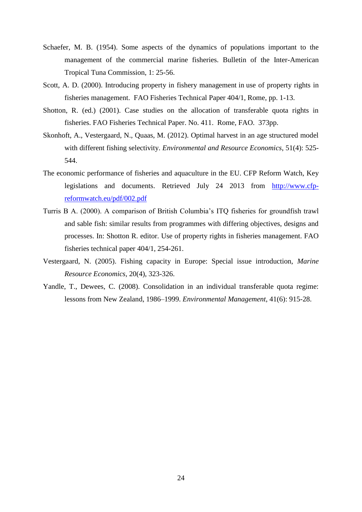- Schaefer, M. B. (1954). Some aspects of the dynamics of populations important to the management of the commercial marine fisheries. Bulletin of the Inter-American Tropical Tuna Commission, 1: 25-56.
- Scott, A. D. (2000). Introducing property in fishery management in use of property rights in fisheries management. FAO Fisheries Technical Paper 404/1, Rome, pp. 1-13.
- Shotton, R. (ed.) (2001). Case studies on the allocation of transferable quota rights in fisheries. FAO Fisheries Technical Paper. No. 411. Rome, FAO. 373pp.
- Skonhoft, A., Vestergaard, N., Quaas, M. (2012). Optimal harvest in an age structured model with different fishing selectivity. *Environmental and Resource Economics*, 51(4): 525- 544.
- The economic performance of fisheries and aquaculture in the EU. CFP Reform Watch, Key legislations and documents. Retrieved July 24 2013 from [http://www.cfp](http://www.cfp-reformwatch.eu/pdf/002.pdf)[reformwatch.eu/pdf/002.pdf](http://www.cfp-reformwatch.eu/pdf/002.pdf)
- Turris B A. (2000). A comparison of British Columbia's ITQ fisheries for groundfish trawl and sable fish: similar results from programmes with differing objectives, designs and processes. In: Shotton R. editor. Use of property rights in fisheries management. FAO fisheries technical paper 404/1, 254-261.
- Vestergaard, N. (2005). Fishing capacity in Europe: Special issue introduction, *Marine Resource Economics*, 20(4), 323-326.
- Yandle, T., Dewees, C. (2008). Consolidation in an individual transferable quota regime: lessons from New Zealand, 1986–1999. *Environmental Management*, 41(6): 915-28.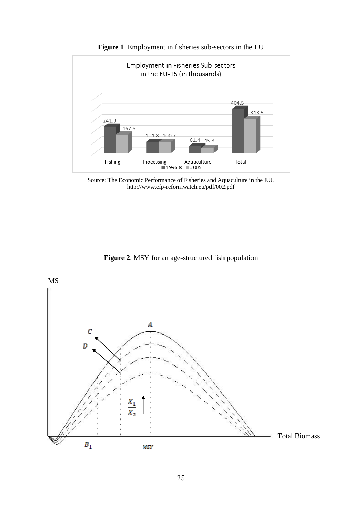

**Figure 1**. Employment in fisheries sub-sectors in the EU

Source: The Economic Performance of Fisheries and Aquaculture in the EU. http://www.cfp-reformwatch.eu/pdf/002.pdf

**Figure 2**. MSY for an age-structured fish population